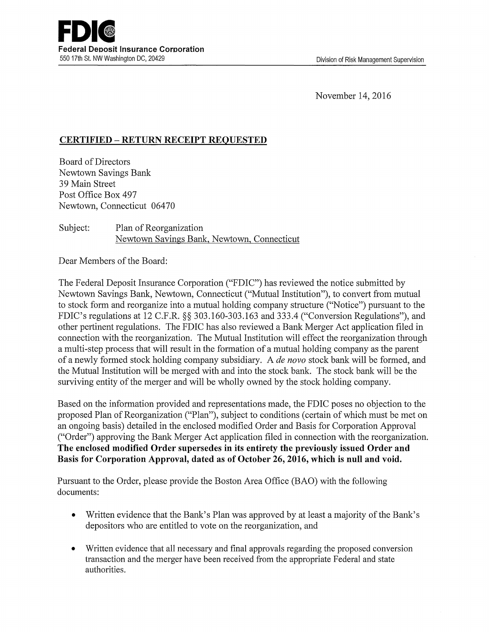November 14, 2016

## **CERTIFIED** - **RETURN RECEIPT REQUESTED**

Board of Directors Newtown Savings Bank 39 Main Street Post Office Box 497 **Newtown,** Connecticut 06470

Subject: Plan of Reorganization Newtown Savings Bank, Newtown, Connecticut

Dear Members of the Board:

The Federal Deposit Insurance Corporation ("FDIC") has reviewed the notice submitted by Newtown Savings Bank, Newtown, Connecticut ("Mutual Institution"), to convert from mutual to stock form and reorganize into a mutual holding company structure ("Notice") pursuant to the FDIC's regulations at 12 C.F.R. §§ 303.160-303.163 and 333.4 ("Conversion Regulations"), and other pertinent regulations. The FDIC has also reviewed a Bank Merger Act application filed in connection with the reorganization. The Mutual Institution will effect the reorganization through a multi-step process that will result in the formation of a mutual holding company as the parent of a newly formed stock holding company subsidiary. A *de nova* stock bank will be formed, and the Mutual Institution will be merged with and into the stock bank. The stock bank will be the surviving entity of the merger and will be wholly owned by the stock holding company.

Based on the information provided and representations made, the FDIC poses no objection to the proposed Plan of Reorganization ("Plan"), subject to conditions ( certain of which must be met on an ongoing basis) detailed in the enclosed modified Order and Basis for Corporation Approval ("Order") approving the Bank Merger Act application filed in connection with the reorganization. **The enclosed modified Order supersedes in its entirety the previously issued Order and Basis for Corporation Approval, dated as of October 26, 2016, which is null and void.** 

Pursuant to the Order, please provide the Boston Area Office (BAO) with the following documents:

- Written evidence that the Bank's Plan was approved by at least a majority of the Bank's depositors who are entitled to vote on the reorganization, and
- Written evidence that all necessary and final approvals regarding the proposed conversion transaction and the merger have been received from the appropriate Federal and state authorities.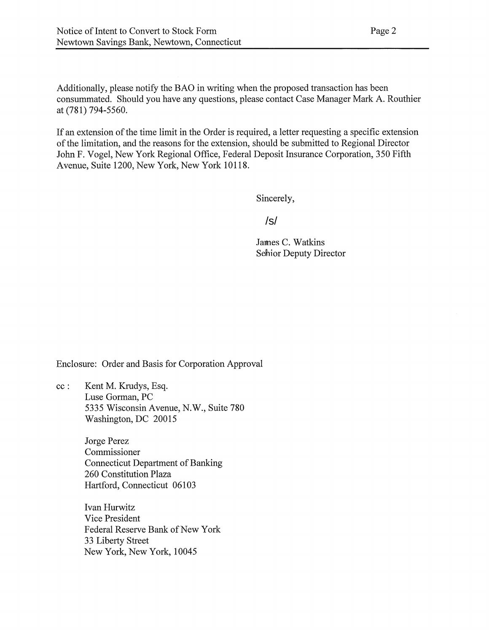Additionally, please notify the BAO in writing when the proposed transaction has been consummated. Should you have any questions, please contact Case Manager Mark A. Routhier at (781) 794-5560.

If an extension of the time limit in the Order is required, a letter requesting a specific extension of the limitation, and the reasons for the extension, should be submitted to Regional Director John F. Vogel, New York Regional Office, Federal Deposit Insurance Corporation, 350 Fifth Avenue, Suite 1200, New York, New York 10118.

Sincerely,

## /s/

James C. Watkins Sehior Deputy Director

Enclosure: Order and Basis for Corporation Approval

cc : Kent M. Krudys, Esq. Luse Gorman, PC 5335 Wisconsin Avenue, N.W., Suite 780 Washington, DC 20015

> Jorge Perez Commissioner Connecticut Department of Banking 260 Constitution Plaza Hartford, Connecticut 06103

Ivan Hurwitz Vice President Federal Reserve Bank of New York 33 Liberty Street New York, New York, 10045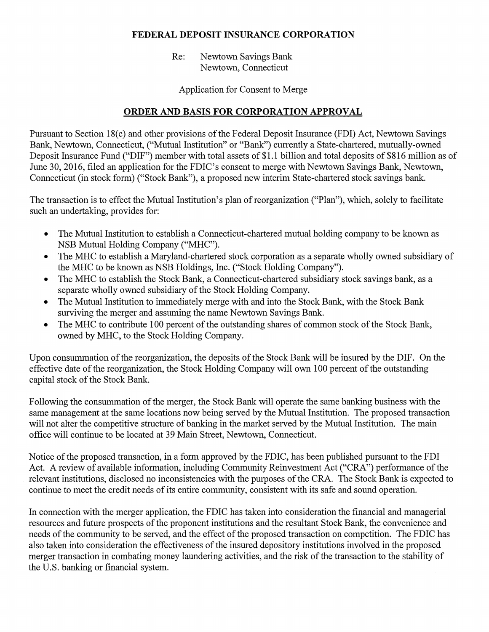## **FEDERAL DEPOSIT INSURANCE CORPORATION**

Re: Newtown Savings Bank Newtown, Connecticut

Application for Consent to Merge

## **ORDER AND BASIS FOR CORPORATION APPROVAL**

Pursuant to Section 18(c) and other provisions of the Federal Deposit Insurance (FDI) Act, Newtown Savings Bank, Newtown, Connecticut, ("Mutual Institution" or "Bank") currently a State-chartered, mutually-owned Deposit Insurance Fund ("DIF") member with total assets of \$1.1 billion and total deposits of \$816 million as of June 30, 2016, filed an application for the FDIC's consent to merge with Newtown Savings Bank, Newtown, Connecticut (in stock form) ("Stock Bank"), a proposed new interim State-chartered stock savings bank.

The transaction is to effect the Mutual Institution's plan of reorganization ("Plan"), which, solely to facilitate such an undertaking, provides for:

- The Mutual Institution to establish a Connecticut-chartered mutual holding company to be known as NSB Mutual Holding Company ("MHC").
- The MHC to establish a Maryland-chartered stock corporation as a separate wholly owned subsidiary of the MHC to be known as NSB Holdings, Inc. ("Stock Holding Company").
- The MHC to establish the Stock Bank, a Connecticut-chartered subsidiary stock savings bank, as a separate wholly owned subsidiary of the Stock Holding Company.
- The Mutual Institution to immediately merge with and into the Stock Bank, with the Stock Bank surviving the merger and assuming the name Newtown Savings Bank.
- The MHC to contribute 100 percent of the outstanding shares of common stock of the Stock Bank, owned by MHC, to the Stock Holding Company.

Upon consummation of the reorganization, the deposits of the Stock Bank will be insured by the DIF. On the effective date of the reorganization, the Stock Holding Company will own 100 percent of the outstanding capital stock of the Stock Bank.

Following the consummation of the merger, the Stock Bank will operate the same banking business with the same management at the same locations now being served by the Mutual Institution. The proposed transaction will not alter the competitive structure of banking in the market served by the Mutual Institution. The main office will continue to be located at 39 Main Street, Newtown, Connecticut.

Notice of the proposed transaction, in a form approved by the FDIC, has been published pursuant to the FDI Act. A review of available information, including Community Reinvestment Act ("CRA") performance of the relevant institutions, disclosed no inconsistencies with the purposes of the CRA. The Stock Bank is expected to continue to meet the credit needs of its entire community, consistent with its safe and sound operation.

In connection with the merger application, the FDIC has taken into consideration the financial and managerial resources and future prospects of the proponent institutions and the resultant Stock Bank, the convenience and needs of the community to be served, and the effect of the proposed transaction on competition. The FDIC has also taken into consideration the effectiveness of the insured depository institutions involved in the proposed merger transaction in combating money laundering activities, and the risk of the transaction to the stability of the U.S. banking or financial system.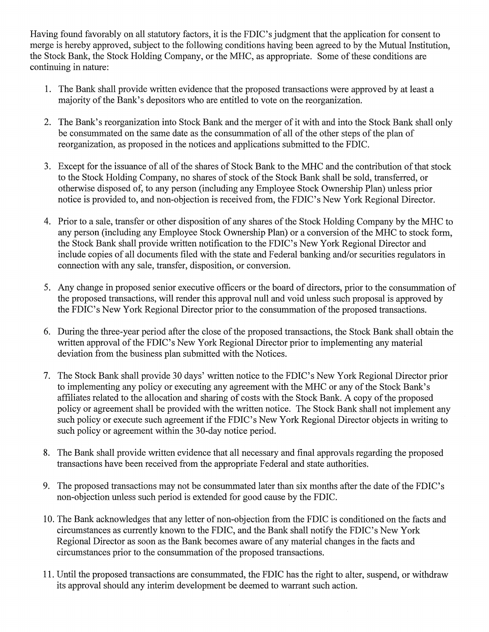Having found favorably on all statutory factors, it is the FDIC's judgment that the application for consent to merge is hereby approved, subject to the following conditions having been agreed to by the Mutual Institution, the Stock Bank, the Stock Holding Company, or the MHC, as appropriate. Some of these conditions are continuing in nature:

- 1. The Bank shall provide written evidence that the proposed transactions were approved by at least a majority of the Bank's depositors who are entitled to vote on the reorganization.
- 2. The Bank's reorganization into Stock Bank and the merger of it with and into the Stock Bank shall only be consummated on the same date as the consummation of all of the other steps of the plan of reorganization, as proposed in the notices and applications submitted to the FDIC.
- 3. Except for the issuance of all of the shares of Stock Bank to the MHC and the contribution of that stock to the Stock Holding Company, no shares of stock of the Stock Bank shall be sold, transferred, or otherwise disposed of, to any person (including any Employee Stock Ownership Plan) unless prior notice is provided to, and non-objection is received from, the FDIC's New York Regional Director.
- 4. Prior to a sale, transfer or other disposition of any shares of the Stock Holding Company by the MHC to any person (including any Employee Stock Ownership Plan) or a conversion of the MHC to stock form, the Stock Bank shall provide written notification to the FDIC's New York Regional Director and include copies of all documents filed with the state and Federal banking and/or securities regulators in connection with any sale, transfer, disposition, or conversion.
- 5. Any change in proposed senior executive officers or the board of directors, prior to the consummation of the proposed transactions, will render this approval null and void unless such proposal is approved by the FDIC's New York Regional Director prior to the consummation of the proposed transactions.
- 6. During the three-year period after the close of the proposed transactions, the Stock Bank shall obtain the written approval of the FDIC's New York Regional Director prior to implementing any material deviation from the business plan submitted with the Notices.
- 7. The Stock Bank shall provide 30 days' written notice to the FDIC's New York Regional Director prior to implementing any policy or executing any agreement with the MHC or any of the Stock Bank's affiliates related to the allocation and sharing of costs with the Stock Bank. A copy of the proposed policy or agreement shall be provided with the written notice. The Stock Bank shall not implement any such policy or execute such agreement if the FDIC's New York Regional Director objects in writing to such policy or agreement within the 30-day notice period.
- 8. The Bank shall provide written evidence that all necessary and final approvals regarding the proposed transactions have been received from the appropriate Federal and state authorities.
- 9. The proposed transactions may not be consummated later than six months after the date of the FDIC's non-objection unless such period is extended for good cause by the FDIC.
- 10. The Bank acknowledges that any letter of non-objection from the FDIC is conditioned on the facts and circumstances as currently known to the FDIC, and the Bank shall notify the FDIC's New York Regional Director as soon as the Bank becomes aware of any material changes in the facts and circumstances prior to the consummation of the proposed transactions.
- 11. Until the proposed transactions are consummated, the FDIC has the right to alter, suspend, or withdraw its approval should any interim development be deemed to warrant such action.